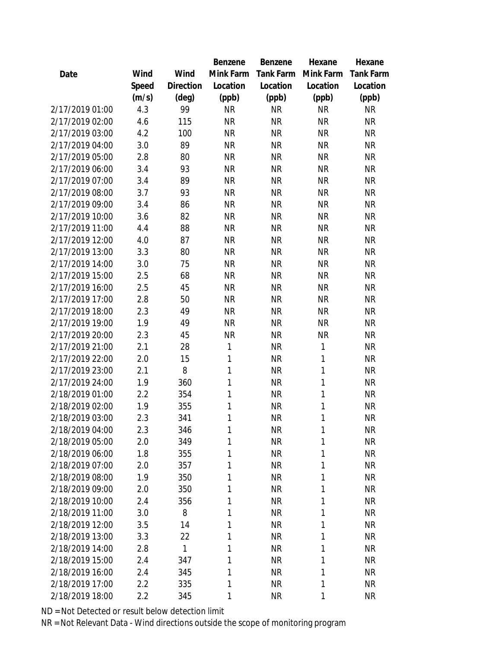|                 |       |                | Benzene      | Benzene   | Hexane    | Hexane    |
|-----------------|-------|----------------|--------------|-----------|-----------|-----------|
| Date            | Wind  | Wind           | Mink Farm    | Tank Farm | Mink Farm | Tank Farm |
|                 | Speed | Direction      | Location     | Location  | Location  | Location  |
|                 | (m/s) | $(\text{deg})$ | (ppb)        | (ppb)     | (ppb)     | (ppb)     |
| 2/17/2019 01:00 | 4.3   | 99             | <b>NR</b>    | <b>NR</b> | <b>NR</b> | <b>NR</b> |
| 2/17/2019 02:00 | 4.6   | 115            | <b>NR</b>    | <b>NR</b> | <b>NR</b> | <b>NR</b> |
| 2/17/2019 03:00 | 4.2   | 100            | <b>NR</b>    | <b>NR</b> | <b>NR</b> | <b>NR</b> |
| 2/17/2019 04:00 | 3.0   | 89             | <b>NR</b>    | <b>NR</b> | <b>NR</b> | <b>NR</b> |
| 2/17/2019 05:00 | 2.8   | 80             | <b>NR</b>    | <b>NR</b> | <b>NR</b> | <b>NR</b> |
| 2/17/2019 06:00 | 3.4   | 93             | <b>NR</b>    | <b>NR</b> | <b>NR</b> | <b>NR</b> |
| 2/17/2019 07:00 | 3.4   | 89             | <b>NR</b>    | <b>NR</b> | <b>NR</b> | <b>NR</b> |
| 2/17/2019 08:00 | 3.7   | 93             | <b>NR</b>    | <b>NR</b> | <b>NR</b> | <b>NR</b> |
| 2/17/2019 09:00 | 3.4   | 86             | <b>NR</b>    | <b>NR</b> | <b>NR</b> | <b>NR</b> |
| 2/17/2019 10:00 | 3.6   | 82             | <b>NR</b>    | <b>NR</b> | <b>NR</b> | <b>NR</b> |
| 2/17/2019 11:00 | 4.4   | 88             | <b>NR</b>    | <b>NR</b> | <b>NR</b> | <b>NR</b> |
| 2/17/2019 12:00 | 4.0   | 87             | <b>NR</b>    | <b>NR</b> | <b>NR</b> | <b>NR</b> |
| 2/17/2019 13:00 | 3.3   | 80             | <b>NR</b>    | <b>NR</b> | <b>NR</b> | <b>NR</b> |
| 2/17/2019 14:00 | 3.0   | 75             | <b>NR</b>    | <b>NR</b> | <b>NR</b> | <b>NR</b> |
| 2/17/2019 15:00 | 2.5   | 68             | <b>NR</b>    | <b>NR</b> | <b>NR</b> | <b>NR</b> |
| 2/17/2019 16:00 | 2.5   | 45             | <b>NR</b>    | <b>NR</b> | <b>NR</b> | <b>NR</b> |
| 2/17/2019 17:00 | 2.8   | 50             | <b>NR</b>    | <b>NR</b> | <b>NR</b> | <b>NR</b> |
| 2/17/2019 18:00 | 2.3   | 49             | <b>NR</b>    | <b>NR</b> | <b>NR</b> | <b>NR</b> |
| 2/17/2019 19:00 | 1.9   | 49             | <b>NR</b>    | <b>NR</b> | <b>NR</b> | <b>NR</b> |
| 2/17/2019 20:00 | 2.3   | 45             | <b>NR</b>    | <b>NR</b> | <b>NR</b> | <b>NR</b> |
| 2/17/2019 21:00 | 2.1   | 28             | 1            | <b>NR</b> | 1         | <b>NR</b> |
| 2/17/2019 22:00 | 2.0   | 15             | 1            | <b>NR</b> | 1         | <b>NR</b> |
| 2/17/2019 23:00 | 2.1   | 8              | $\mathbf{1}$ | <b>NR</b> | 1         | <b>NR</b> |
| 2/17/2019 24:00 | 1.9   | 360            | 1            | <b>NR</b> | 1         | <b>NR</b> |
| 2/18/2019 01:00 | 2.2   | 354            | 1            | <b>NR</b> | 1         | <b>NR</b> |
| 2/18/2019 02:00 | 1.9   | 355            | 1            | <b>NR</b> | 1         | <b>NR</b> |
| 2/18/2019 03:00 | 2.3   | 341            | 1            | <b>NR</b> | 1         | <b>NR</b> |
| 2/18/2019 04:00 | 2.3   | 346            | 1            | <b>NR</b> | 1         | <b>NR</b> |
| 2/18/2019 05:00 | 2.0   | 349            | 1            | <b>NR</b> | 1         | <b>NR</b> |
| 2/18/2019 06:00 | 1.8   | 355            | 1            | <b>NR</b> | 1         | <b>NR</b> |
| 2/18/2019 07:00 | 2.0   | 357            | 1            | <b>NR</b> | 1         | <b>NR</b> |
| 2/18/2019 08:00 | 1.9   | 350            | 1            | <b>NR</b> | 1         | <b>NR</b> |
| 2/18/2019 09:00 | 2.0   | 350            | 1            | <b>NR</b> | 1         | <b>NR</b> |
| 2/18/2019 10:00 | 2.4   | 356            | 1            | <b>NR</b> | 1         | <b>NR</b> |
| 2/18/2019 11:00 | 3.0   | 8              | 1            | <b>NR</b> | 1         | <b>NR</b> |
| 2/18/2019 12:00 | 3.5   | 14             | 1            | <b>NR</b> | 1         | <b>NR</b> |
| 2/18/2019 13:00 | 3.3   | 22             | 1            | <b>NR</b> | 1         | <b>NR</b> |
| 2/18/2019 14:00 | 2.8   | $\mathbf{1}$   | 1            | <b>NR</b> | 1         | <b>NR</b> |
| 2/18/2019 15:00 | 2.4   | 347            | 1            | <b>NR</b> | 1         | <b>NR</b> |
| 2/18/2019 16:00 | 2.4   | 345            | 1            | <b>NR</b> | 1         | <b>NR</b> |
| 2/18/2019 17:00 | 2.2   | 335            | 1            | <b>NR</b> | 1         | <b>NR</b> |
| 2/18/2019 18:00 | 2.2   | 345            | 1            | <b>NR</b> | 1         | <b>NR</b> |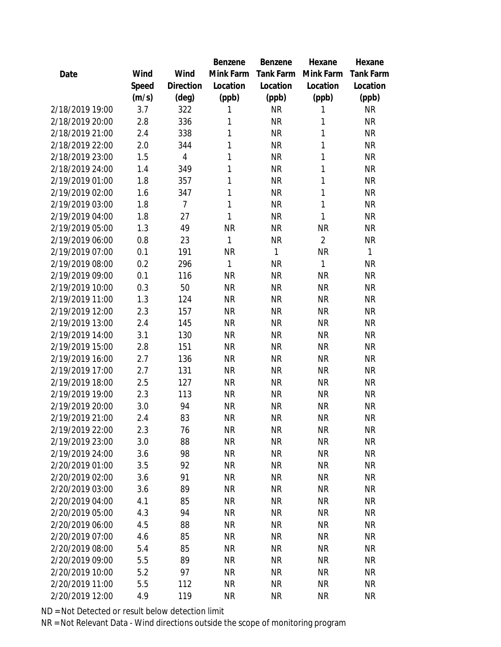|                 |         |                | Benzene      | Benzene      | Hexane         | Hexane       |
|-----------------|---------|----------------|--------------|--------------|----------------|--------------|
| Date            | Wind    | Wind           | Mink Farm    | Tank Farm    | Mink Farm      | Tank Farm    |
|                 | Speed   | Direction      | Location     | Location     | Location       | Location     |
|                 | (m/s)   | $(\text{deg})$ | (ppb)        | (ppb)        | (ppb)          | (ppb)        |
| 2/18/2019 19:00 | 3.7     | 322            | 1            | <b>NR</b>    | 1              | <b>NR</b>    |
| 2/18/2019 20:00 | 2.8     | 336            | 1            | <b>NR</b>    | 1              | <b>NR</b>    |
| 2/18/2019 21:00 | 2.4     | 338            | 1            | <b>NR</b>    | 1              | <b>NR</b>    |
| 2/18/2019 22:00 | 2.0     | 344            | 1            | <b>NR</b>    | 1              | <b>NR</b>    |
| 2/18/2019 23:00 | 1.5     | $\overline{4}$ | 1            | <b>NR</b>    | 1              | <b>NR</b>    |
| 2/18/2019 24:00 | 1.4     | 349            | 1            | <b>NR</b>    | 1              | <b>NR</b>    |
| 2/19/2019 01:00 | 1.8     | 357            | 1            | <b>NR</b>    | 1              | <b>NR</b>    |
| 2/19/2019 02:00 | 1.6     | 347            | 1            | <b>NR</b>    | 1              | <b>NR</b>    |
| 2/19/2019 03:00 | 1.8     | $\overline{7}$ | $\mathbf{1}$ | <b>NR</b>    | 1              | <b>NR</b>    |
| 2/19/2019 04:00 | 1.8     | 27             | 1            | <b>NR</b>    | 1              | <b>NR</b>    |
| 2/19/2019 05:00 | 1.3     | 49             | <b>NR</b>    | <b>NR</b>    | <b>NR</b>      | <b>NR</b>    |
| 2/19/2019 06:00 | $0.8\,$ | 23             | 1            | <b>NR</b>    | $\overline{2}$ | <b>NR</b>    |
| 2/19/2019 07:00 | 0.1     | 191            | <b>NR</b>    | $\mathbf{1}$ | <b>NR</b>      | $\mathbf{1}$ |
| 2/19/2019 08:00 | 0.2     | 296            | 1            | <b>NR</b>    | 1              | <b>NR</b>    |
| 2/19/2019 09:00 | 0.1     | 116            | <b>NR</b>    | <b>NR</b>    | <b>NR</b>      | <b>NR</b>    |
| 2/19/2019 10:00 | 0.3     | 50             | <b>NR</b>    | <b>NR</b>    | <b>NR</b>      | <b>NR</b>    |
| 2/19/2019 11:00 | 1.3     | 124            | <b>NR</b>    | <b>NR</b>    | <b>NR</b>      | <b>NR</b>    |
| 2/19/2019 12:00 | 2.3     | 157            | <b>NR</b>    | <b>NR</b>    | <b>NR</b>      | <b>NR</b>    |
| 2/19/2019 13:00 | 2.4     | 145            | <b>NR</b>    | <b>NR</b>    | <b>NR</b>      | <b>NR</b>    |
| 2/19/2019 14:00 | 3.1     | 130            | <b>NR</b>    | <b>NR</b>    | <b>NR</b>      | <b>NR</b>    |
| 2/19/2019 15:00 | 2.8     | 151            | <b>NR</b>    | <b>NR</b>    | <b>NR</b>      | <b>NR</b>    |
| 2/19/2019 16:00 | 2.7     | 136            | <b>NR</b>    | <b>NR</b>    | <b>NR</b>      | <b>NR</b>    |
| 2/19/2019 17:00 | 2.7     | 131            | <b>NR</b>    | <b>NR</b>    | <b>NR</b>      | <b>NR</b>    |
| 2/19/2019 18:00 | 2.5     | 127            | <b>NR</b>    | <b>NR</b>    | <b>NR</b>      | <b>NR</b>    |
| 2/19/2019 19:00 | 2.3     | 113            | <b>NR</b>    | <b>NR</b>    | <b>NR</b>      | <b>NR</b>    |
| 2/19/2019 20:00 | 3.0     | 94             | <b>NR</b>    | <b>NR</b>    | <b>NR</b>      | <b>NR</b>    |
| 2/19/2019 21:00 | 2.4     | 83             | <b>NR</b>    | <b>NR</b>    | <b>NR</b>      | <b>NR</b>    |
| 2/19/2019 22:00 | 2.3     | 76             | <b>NR</b>    | <b>NR</b>    | <b>NR</b>      | <b>NR</b>    |
| 2/19/2019 23:00 | 3.0     | 88             | <b>NR</b>    | <b>NR</b>    | <b>NR</b>      | <b>NR</b>    |
| 2/19/2019 24:00 | 3.6     | 98             | <b>NR</b>    | <b>NR</b>    | <b>NR</b>      | <b>NR</b>    |
| 2/20/2019 01:00 | 3.5     | 92             | <b>NR</b>    | <b>NR</b>    | <b>NR</b>      | <b>NR</b>    |
| 2/20/2019 02:00 | 3.6     | 91             | <b>NR</b>    | <b>NR</b>    | <b>NR</b>      | <b>NR</b>    |
| 2/20/2019 03:00 | 3.6     | 89             | <b>NR</b>    | <b>NR</b>    | <b>NR</b>      | <b>NR</b>    |
| 2/20/2019 04:00 | 4.1     | 85             | <b>NR</b>    | <b>NR</b>    | <b>NR</b>      | <b>NR</b>    |
| 2/20/2019 05:00 | 4.3     | 94             | <b>NR</b>    | <b>NR</b>    | <b>NR</b>      | <b>NR</b>    |
| 2/20/2019 06:00 | 4.5     | 88             | <b>NR</b>    | <b>NR</b>    | <b>NR</b>      | <b>NR</b>    |
| 2/20/2019 07:00 | 4.6     | 85             | <b>NR</b>    | <b>NR</b>    | <b>NR</b>      | <b>NR</b>    |
| 2/20/2019 08:00 | 5.4     | 85             | <b>NR</b>    | <b>NR</b>    | <b>NR</b>      | <b>NR</b>    |
| 2/20/2019 09:00 | 5.5     | 89             | <b>NR</b>    | NR           | <b>NR</b>      | <b>NR</b>    |
| 2/20/2019 10:00 | 5.2     | 97             | <b>NR</b>    | NR           | <b>NR</b>      | <b>NR</b>    |
| 2/20/2019 11:00 | 5.5     | 112            | <b>NR</b>    | <b>NR</b>    | <b>NR</b>      | <b>NR</b>    |
| 2/20/2019 12:00 | 4.9     | 119            | <b>NR</b>    | <b>NR</b>    | <b>NR</b>      | <b>NR</b>    |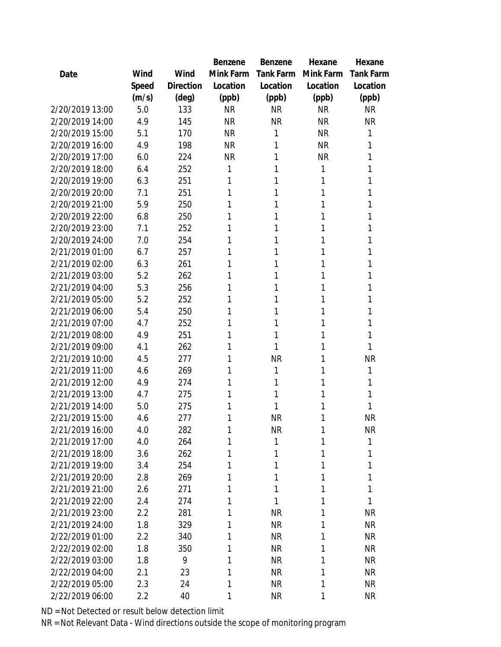|                 |       |                | Benzene   | Benzene   | Hexane    | Hexane           |
|-----------------|-------|----------------|-----------|-----------|-----------|------------------|
| Date            | Wind  | Wind           | Mink Farm | Tank Farm | Mink Farm | <b>Tank Farm</b> |
|                 | Speed | Direction      | Location  | Location  | Location  | Location         |
|                 | (m/s) | $(\text{deg})$ | (ppb)     | (ppb)     | (ppb)     | (ppb)            |
| 2/20/2019 13:00 | 5.0   | 133            | <b>NR</b> | <b>NR</b> | <b>NR</b> | <b>NR</b>        |
| 2/20/2019 14:00 | 4.9   | 145            | <b>NR</b> | <b>NR</b> | <b>NR</b> | <b>NR</b>        |
| 2/20/2019 15:00 | 5.1   | 170            | <b>NR</b> | 1         | <b>NR</b> | 1                |
| 2/20/2019 16:00 | 4.9   | 198            | <b>NR</b> | 1         | <b>NR</b> | 1                |
| 2/20/2019 17:00 | 6.0   | 224            | <b>NR</b> | 1         | <b>NR</b> | 1                |
| 2/20/2019 18:00 | 6.4   | 252            | 1         | 1         | 1         | 1                |
| 2/20/2019 19:00 | 6.3   | 251            | 1         | 1         | 1         | 1                |
| 2/20/2019 20:00 | 7.1   | 251            | 1         | 1         | 1         | 1                |
| 2/20/2019 21:00 | 5.9   | 250            | 1         | 1         | 1         | 1                |
| 2/20/2019 22:00 | 6.8   | 250            | 1         | 1         | 1         | 1                |
| 2/20/2019 23:00 | 7.1   | 252            | 1         | 1         | 1         | 1                |
| 2/20/2019 24:00 | 7.0   | 254            | 1         | 1         | 1         | 1                |
| 2/21/2019 01:00 | 6.7   | 257            | 1         | 1         | 1         | 1                |
| 2/21/2019 02:00 | 6.3   | 261            | 1         | 1         | 1         | 1                |
| 2/21/2019 03:00 | 5.2   | 262            | 1         | 1         | 1         | 1                |
| 2/21/2019 04:00 | 5.3   | 256            | 1         | 1         | 1         | 1                |
| 2/21/2019 05:00 | 5.2   | 252            | 1         | 1         | 1         | 1                |
| 2/21/2019 06:00 | 5.4   | 250            | 1         | 1         | 1         | 1                |
| 2/21/2019 07:00 | 4.7   | 252            | 1         | 1         | 1         | 1                |
| 2/21/2019 08:00 | 4.9   | 251            | 1         | 1         | 1         | 1                |
| 2/21/2019 09:00 | 4.1   | 262            | 1         | 1         | 1         | 1                |
| 2/21/2019 10:00 | 4.5   | 277            | 1         | <b>NR</b> | 1         | <b>NR</b>        |
| 2/21/2019 11:00 | 4.6   | 269            | 1         | 1         | 1         | 1                |
| 2/21/2019 12:00 | 4.9   | 274            | 1         | 1         | 1         | 1                |
| 2/21/2019 13:00 | 4.7   | 275            | 1         | 1         | 1         | 1                |
| 2/21/2019 14:00 | 5.0   | 275            | 1         | 1         | 1         | 1                |
| 2/21/2019 15:00 | 4.6   | 277            | 1         | <b>NR</b> | 1         | <b>NR</b>        |
| 2/21/2019 16:00 | 4.0   | 282            | 1         | <b>NR</b> | 1         | <b>NR</b>        |
| 2/21/2019 17:00 | 4.0   | 264            | 1         | 1         | 1         | 1                |
| 2/21/2019 18:00 | 3.6   | 262            | 1         | 1         | 1         | 1                |
| 2/21/2019 19:00 | 3.4   | 254            | 1         | 1         | 1         | 1                |
| 2/21/2019 20:00 | 2.8   | 269            | 1         | 1         | 1         | 1                |
| 2/21/2019 21:00 | 2.6   | 271            | 1         | 1         | 1         | 1                |
| 2/21/2019 22:00 | 2.4   | 274            | 1         | 1         | 1         | 1                |
| 2/21/2019 23:00 | 2.2   | 281            | 1         | <b>NR</b> | 1         | <b>NR</b>        |
| 2/21/2019 24:00 | 1.8   | 329            | 1         | <b>NR</b> | 1         | <b>NR</b>        |
| 2/22/2019 01:00 | 2.2   | 340            | 1         | <b>NR</b> | 1         | <b>NR</b>        |
| 2/22/2019 02:00 | 1.8   | 350            | 1         | <b>NR</b> | 1         | <b>NR</b>        |
| 2/22/2019 03:00 | 1.8   | 9              | 1         | <b>NR</b> | 1         | <b>NR</b>        |
| 2/22/2019 04:00 | 2.1   | 23             | 1         | <b>NR</b> | 1         | <b>NR</b>        |
| 2/22/2019 05:00 | 2.3   | 24             | 1         | <b>NR</b> | 1         | <b>NR</b>        |
| 2/22/2019 06:00 | 2.2   | 40             | 1         | <b>NR</b> | 1         | <b>NR</b>        |